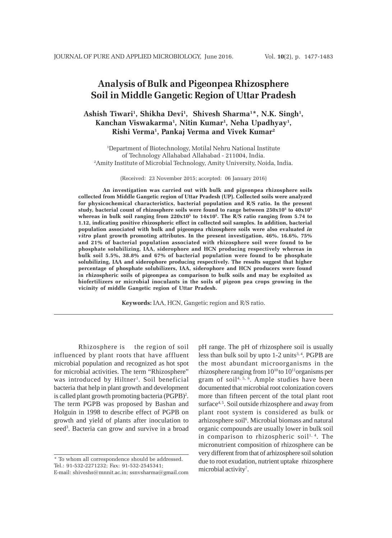# **Analysis of Bulk and Pigeonpea Rhizosphere Soil in Middle Gangetic Region of Uttar Pradesh**

## **Ashish Tiwari1 , Shikha Devi1 , Shivesh Sharma1 \*, N.K. Singh1 , Kanchan Viswakarma1 , Nitin Kumar1 , Neha Upadhyay1 , Rishi Verma1, Pankaj Verma and Vivek Kumar2**

1 Department of Biotechnology, Motilal Nehru National Institute of Technology Allahabad Allahabad - 211004, India. 2 Amity Institute of Microbial Technology, Amity University, Noida, India.

(Received: 23 November 2015; accepted: 06 January 2016)

**An investigation was carried out with bulk and pigeonpea rhizosphere soils collected from Middle Gangetic region of Uttar Pradesh (UP). Collected soils were analyzed for physicochemical characteristics, bacterial population and R/S ratio. In the present study, bacterial count of rhizosphere soils were found to range between 250x105 to 40x105 whereas in bulk soil ranging from 220x105 to 14x105. The R/S ratio ranging from 5.74 to 1.12, indicating positive rhizospheric effect in collected soil samples. In addition, bacterial population associated with bulk and pigeonpea rhizosphere soils were also evaluated** *in vitro* **plant growth promoting attributes. In the present investigation, 46%, 16.6%, 75% and 21% of bacterial population associated with rhizosphere soil were found to be phosphate solubilizing, IAA, siderophore and HCN producing respectively whereas in bulk soil 5.5%, 38.8% and 67% of bacterial population were found to be phosphate solubilizing, IAA and siderophore producing respectively. The results suggest that higher percentage of phosphate solubilizers, IAA, siderophore and HCN producers were found in rhizospheric soils of pigeonpea as comparison to bulk soils and may be exploited as biofertilizers or microbial inoculants in the soils of pigeon pea crops growing in the vicinity of middle Gangetic region of Uttar Pradesh.**

**Keywords:** IAA, HCN, Gangetic region and R/S ratio.

Rhizosphere is the region of soil influenced by plant roots that have affluent microbial population and recognized as hot spot for microbial activities. The term "Rhizosphere" was introduced by Hiltner<sup>1</sup>. Soil beneficial bacteria that help in plant growth and development is called plant growth promoting bacteria (PGPB)<sup>2</sup>. The term PGPB was proposed by Bashan and Holguin in 1998 to describe effect of PGPB on growth and yield of plants after inoculation to seed<sup>3</sup>. Bacteria can grow and survive in a broad

pH range. The pH of rhizosphere soil is usually less than bulk soil by upto  $1-2$  units<sup>3,4</sup>. PGPB are the most abundant microorganisms in the rhizosphere ranging from  $10^{10}$  to  $10^{11}$ organisms per gram of soil4, 5, 6. Ample studies have been documented that microbial root colonization covers more than fifteen percent of the total plant root surface<sup>4, 5</sup>. Soil outside rhizosphere and away from plant root system is considered as bulk or arhizosphere soil<sup>6</sup>. Microbial biomass and natural organic compounds are usually lower in bulk soil in comparison to rhizospheric soil<sup>1, 4</sup>. The micronutrient composition of rhizosphere can be very different from that of arhizosphere soil solution due to root exudation, nutrient uptake rhizosphere microbial activity<sup>7</sup>.

<sup>\*</sup> To whom all correspondence should be addressed. Tel.: 91-532-2271232; Fax: 91-532-2545341; E-mail: shiveshs@mnnit.ac.in; ssnvsharma@gmail.com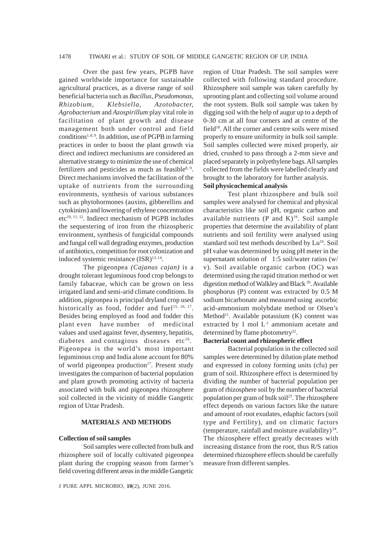## 1478 TIWARI et al.: STUDY OF SOIL OF MIDDLE GANGETIC REGION OF UP, INDIA

Over the past few years, PGPB have gained worldwide importance for sustainable agricultural practices, as a diverse range of soil beneficial bacteria such as *Bacillus, Pseudomonas, Rhizobium, Klebsiella, Azotobacter, Agrobacterium* and *Azospirillum* play vital role in facilitation of plant growth and disease management both under control and field conditions1, 8, 9*.* In addition*,* use of PGPB in farming practices in order to boost the plant growth via direct and indirect mechanisms are considered an alternative strategy to minimize the use of chemical fertilizers and pesticides as much as feasible $8, 9$ . Direct mechanisms involved the facilitation of the uptake of nutrients from the surrounding environments, synthesis of various substances such as phytohormones (auxins, gibberellins and cytokinins) and lowering of ethylene concentration etc<sup>10, 11, 12</sup>. Indirect mechanism of PGPB includes the sequestering of iron from the rhizospheric environment, synthesis of fungicidal compounds and fungal cell wall degrading enzymes, production of antibiotics, competition for root colonization and induced systemic resistance (ISR)<sup>13, 14</sup>.

The pigeonpea *(Cajanus cajan)* is a drought tolerant leguminous food crop belongs to family fabaceae, which can be grown on less irrigated land and semi-arid climate conditions. In addition, pigeonpea is principal dryland crop used historically as food, fodder and fuel<sup>15, 16, 17</sup>. Besides being employed as food and fodder this plant even have number of medicinal values and used against fever, dysentery, hepatitis, diabetes and contagious diseases etc $<sup>16</sup>$ .</sup> Pigeonpea is the world's most important leguminous crop and India alone account for 80% of world pigeonpea production<sup>17</sup>. Present study investigates the comparison of bacterial population and plant growth promoting activity of bacteria associated with bulk and pigeonpea rhizosphere soil collected in the vicinity of middle Gangetic region of Uttar Pradesh.

## **MATERIALS AND METHODS**

#### **Collection of soil samples**

Soil samples were collected from bulk and rhizosphere soil of locally cultivated pigeonpea plant during the cropping season from farmer's field covering different areas in the middle Gangetic region of Uttar Pradesh. The soil samples were collected with following standard procedure. Rhizosphere soil sample was taken carefully by uprooting plant and collecting soil volume around the root system. Bulk soil sample was taken by digging soil with the help of augur up to a depth of 0-30 cm at all four corners and at centre of the field $18$ . All the corner and centre soils were mixed properly to ensure uniformity in bulk soil sample. Soil samples collected were mixed properly, air dried, crushed to pass through a 2-mm sieve and placed separately in polyethylene bags. All samples collected from the fields were labelled clearly and brought to the laboratory for further analysis. **Soil physicochemical analysis**

Test plant rhizosphere and bulk soil samples were analysed for chemical and physical characteristics like soil pH, organic carbon and available nutrients  $(P \text{ and } K)^{19}$ . Soil sample properties that determine the availability of plant nutrients and soil fertility were analysed using standard soil test methods described by Lu<sup>19</sup>. Soil pH value was determined by using pH meter in the supernatant solution of 1:5 soil/water ratios (w/ v). Soil available organic carbon (OC) was determined using the rapid titration method or wet digestion method of Walkley and Black 20. Available phosphorus (P) content was extracted by 0.5 M sodium bicarbonate and measured using ascorbic acid-ammonium molybdate method or Olsen's Method<sup>21</sup>. Available potassium  $(K)$  content was extracted by 1 mol  $L^{-1}$  ammonium acetate and determined by flame photometry<sup>22</sup>.

#### **Bacterial count and rhizospheric effect**

Bacterial population in the collected soil samples were determined by dilution plate method and expressed in colony forming units (cfu) per gram of soil. Rhizosphere effect is determined by dividing the number of bacterial population per gram of rhizosphere soil by the number of bacterial population per gram of bulk soil<sup>23</sup>. The rhizosphere effect depends on various factors like the nature and amount of root exudates, edaphic factors (soil type and Fertility), and on climatic factors (temperature, rainfall and moisture availability)<sup>24</sup>. The rhizosphere effect greatly decreases with increasing distance from the root, thus R/S ratios determined rhizosphere effects should be carefully measure from different samples.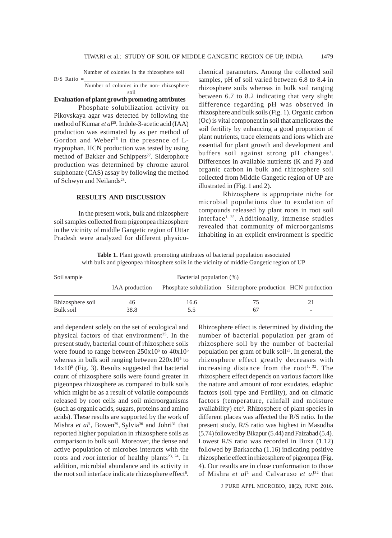Number of colonies in the rhizosphere soil  $R/S$  Ratio = Number of colonies in the non- rhizosphere

soil **Evaluation of plant growth promoting attributes**

# Phosphate solubilization activity on

Pikovskaya agar was detected by following the method of Kumar et al<sup>25</sup>. Indole-3-acetic acid (IAA) production was estimated by as per method of Gordon and Weber<sup>26</sup> in the presence of Ltryptophan. HCN production was tested by using method of Bakker and Schippers<sup>27</sup>. Siderophore production was determined by chrome azurol sulphonate (CAS) assay by following the method of Schwyn and Neilands<sup>28</sup>.

### **RESULTS AND DISCUSSION**

In the present work, bulk and rhizosphere soil samples collected from pigeonpea rhizosphere in the vicinity of middle Gangetic region of Uttar Pradesh were analyzed for different physicochemical parameters. Among the collected soil samples, pH of soil varied between 6.8 to 8.4 in rhizosphere soils whereas in bulk soil ranging between 6.7 to 8.2 indicating that very slight difference regarding pH was observed in rhizosphere and bulk soils (Fig. 1). Organic carbon (Oc) is vital component in soil that ameliorates the soil fertility by enhancing a good proportion of plant nutrients, trace elements and ions which are essential for plant growth and development and buffers soil against strong pH changes<sup>1</sup>. Differences in available nutrients (K and P) and organic carbon in bulk and rhizosphere soil collected from Middle Gangetic region of UP are illustrated in (Fig. 1 and 2).

Rhizosphere is appropriate niche for microbial populations due to exudation of compounds released by plant roots in root soil interface<sup>1, 25</sup>. Additionally, immense studies revealed that community of microorganisms inhabiting in an explicit environment is specific

**Table 1.** Plant growth promoting attributes of bacterial population associated with bulk and pigeonpea rhizosphere soils in the vicinity of middle Gangetic region of UP

| Soil sample      | Bacterial population (%) |      |                                                               |  |
|------------------|--------------------------|------|---------------------------------------------------------------|--|
|                  | IAA production           |      | Phosphate solubiliation Siderophore production HCN production |  |
| Rhizosphere soil | 46                       | 16.6 | 75                                                            |  |
| Bulk soil        | 38.8                     | 5.5  | 67                                                            |  |

and dependent solely on the set of ecological and physical factors of that environment<sup>25</sup>. In the present study, bacterial count of rhizosphere soils were found to range between  $250x10^5$  to  $40x10^5$ whereas in bulk soil ranging between  $220x10<sup>5</sup>$  to 14x10<sup>5</sup> (Fig. 3). Results suggested that bacterial count of rhizosphere soils were found greater in pigeonpea rhizosphere as compared to bulk soils which might be as a result of volatile compounds released by root cells and soil microorganisms (such as organic acids, sugars, proteins and amino acids). These results are supported by the work of Mishra *et al*<sup>1</sup>, Bowen<sup>29</sup>, Sylvia<sup>30</sup> and Johri<sup>31</sup> that reported higher population in rhizosphere soils as comparison to bulk soil. Moreover, the dense and active population of microbes interacts with the roots and *root* interior of healthy plants<sup>23, 24</sup>. In addition, microbial abundance and its activity in the root soil interface indicate rhizosphere effect<sup>6</sup>.

Rhizosphere effect is determined by dividing the number of bacterial population per gram of rhizosphere soil by the number of bacterial population per gram of bulk soil<sup>23</sup>. In general, the rhizosphere effect greatly decreases with increasing distance from the root<sup>1, 32</sup>. The rhizosphere effect depends on various factors like the nature and amount of root exudates, edaphic factors (soil type and Fertility), and on climatic factors (temperature, rainfall and moisture availability) etc<sup>6</sup>. Rhizosphere of plant species in different places was affected the R/S ratio. In the present study, R/S ratio was highest in Masodha (5.74) followed by Bikapur (5.44) and Faizabad (5.4). Lowest R/S ratio was recorded in Buxa (1.12) followed by Barkaccha (1.16) indicating positive rhizospheric effect in rhizosphere of pigeonpea (Fig. 4). Our results are in close conformation to those of Mishra *et al*<sup>1</sup> and Calvaruso *et al*32 that

J PURE APPL MICROBIO*,* **10**(2), JUNE 2016.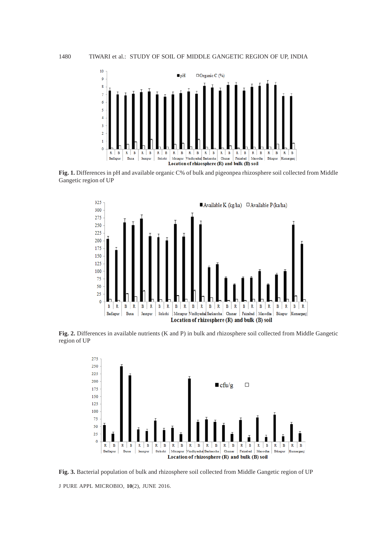

**Fig. 1.** Differences in pH and available organic C% of bulk and pigeonpea rhizosphere soil collected from Middle Gangetic region of UP



**Fig. 2.** Differences in available nutrients (K and P) in bulk and rhizosphere soil collected from Middle Gangetic region of UP



J PURE APPL MICROBIO*,* **10**(2), JUNE 2016. **Fig. 3.** Bacterial population of bulk and rhizosphere soil collected from Middle Gangetic region of UP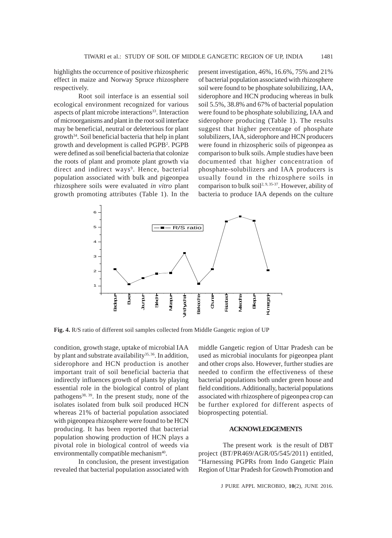highlights the occurrence of positive rhizospheric effect in maize and Norway Spruce rhizosphere respectively.

Root soil interface is an essential soil ecological environment recognized for various aspects of plant microbe interactions<sup>33</sup>. Interaction of microorganisms and plant in the root soil interface may be beneficial, neutral or deleterious for plant growth<sup>34</sup>. Soil beneficial bacteria that help in plant growth and development is called PGPB<sup>2</sup>. PGPB were defined as soil beneficial bacteria that colonize the roots of plant and promote plant growth via direct and indirect ways<sup>9</sup>. Hence, bacterial population associated with bulk and pigeonpea rhizosphere soils were evaluated *in vitro* plant growth promoting attributes (Table 1). In the present investigation, 46%, 16.6%, 75% and 21% of bacterial population associated with rhizosphere soil were found to be phosphate solubilizing, IAA, siderophore and HCN producing whereas in bulk soil 5.5%, 38.8% and 67% of bacterial population were found to be phosphate solubilizing, IAA and siderophore producing (Table 1). The results suggest that higher percentage of phosphate solubilizers, IAA, siderophore and HCN producers were found in rhizospheric soils of pigeonpea as comparison to bulk soils. Ample studies have been documented that higher concentration of phosphate-solubilizers and IAA producers is usually found in the rhizosphere soils in comparison to bulk soil<sup>2, 9, 35-37</sup>. However, ability of bacteria to produce IAA depends on the culture



**Fig. 4.** R/S ratio of different soil samples collected from Middle Gangetic region of UP

condition, growth stage, uptake of microbial IAA by plant and substrate availability<sup>35, 36</sup>. In addition, siderophore and HCN production is another important trait of soil beneficial bacteria that indirectly influences growth of plants by playing essential role in the biological control of plant pathogens<sup>38, 39</sup>. In the present study, none of the isolates isolated from bulk soil produced HCN whereas 21% of bacterial population associated with pigeonpea rhizosphere were found to be HCN producing. It has been reported that bacterial population showing production of HCN plays a pivotal role in biological control of weeds via environmentally compatible mechanism<sup>40</sup>.

In conclusion, the present investigation revealed that bacterial population associated with middle Gangetic region of Uttar Pradesh can be used as microbial inoculants for pigeonpea plant and other crops also. However, further studies are needed to confirm the effectiveness of these bacterial populations both under green house and field conditions. Additionally, bacterial populations associated with rhizosphere of pigeonpea crop can be further explored for different aspects of bioprospecting potential.

#### **ACKNOWLEDGEMENTS**

The present work is the result of DBT project (BT/PR469/AGR/05/545/2011) entitled, "Harnessing PGPRs from Indo Gangetic Plain Region of Uttar Pradesh for Growth Promotion and

J PURE APPL MICROBIO*,* **10**(2), JUNE 2016.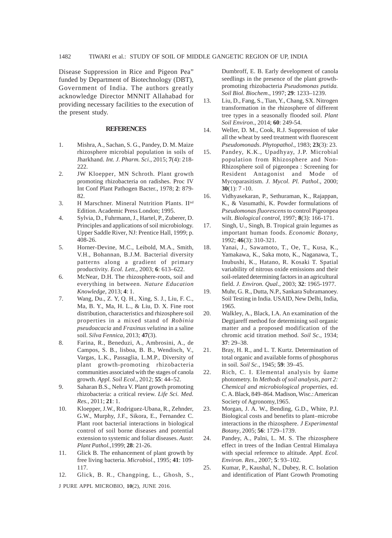Disease Suppression in Rice and Pigeon Pea" funded by Department of Biotechnology (DBT), Government of India. The authors greatly acknowledge Director MNNIT Allahabad for providing necessary facilities to the execution of the present study.

#### **REFERENCES**

- 1. Mishra, A., Sachan, S. G., Pandey, D. M. Maize rhizosphere microbial population in soils of Jharkhand. *Int. J. Pharm. Sci*., 2015; **7**(4): 218- 222.
- 2. JW Kloepper, MN Schroth. Plant growth promoting rhizobacteria on radishes. Proc IV Int Conf Plant Pathogen Bacter., 1978; **2**: 879- 82.
- 3. H Marschner. Mineral Nutrition Plants. II<sup>nd</sup> Edition. Academic Press London; 1995.
- 4. Sylvia, D., Fuhrmann, J., Hartel, P., Zuberer, D. Principles and applications of soil microbiology. Upper Saddle River, NJ: Prentice Hall, 1999; p. 408-26.
- 5. Horner-Devine, M.C., Leibold, M.A., Smith, V.H., Bohannan, B.J.M. Bacterial diversity patterns along a gradient of primary productivity. *Ecol. Lett*., 2003; **6**: 613–622.
- 6. McNear, D.H. The rhizosphere-roots, soil and everything in between. *Nature Education Knowledge*, 2013; **4**: 1.
- 7. Wang, Du., Z. Y, Q. H., Xing, S. J., Liu, F. C., Ma, B. Y., Ma, H. L., & Liu, D. X. Fine root distribution, characteristics and rhizosphere soil properties in a mixed stand of *Robinia pseudoacacia* and *Fraxinus velutina* in a saline soil. *Silva Fennica*, 2013; **47**(3).
- 8. Farina, R., Beneduzi, A., Ambrosini, A., de Campos, S. B., lisboa, B. B., Wendisch, V., Vargas, L.K., Passaglia, L.M.P., Diversity of plant growth-promoting rhizobacteria communities associated with the stages of canola growth. *Appl. Soil Ecol*., 2012; **55**: 44–52.
- 9. Saharan B.S., Nehra V. Plant growth promoting rhizobacteria: a critical review. *Life Sci. Med. Res.,* 2011; **21**: 1.
- 10. Kloepper, J.W., Rodriguez-Ubana, R., Zehnder, G.W., Murphy, J.F., Sikora, E., Fernandez C. Plant root bacterial interactions in biological control of soil borne diseases and potential extension to systemic and foliar diseases. *Austr. Plant Pathol.,*1999; **28**: 21-26.
- 11. Glick B. The enhancement of plant growth by free living bacteria. *Microbiol*., 1995; **41**: 109- 117.
- 12. Glick, B. R., Changping, L., Ghosh, S.,

J PURE APPL MICROBIO*,* **10**(2), JUNE 2016.

Dumbroff, E. B. Early development of canola seedlings in the presence of the plant growthpromoting rhizobacteria *Pseudomonas putida. Soil Biol. Biochem*., 1997; **29**: 1233–1239.

- 13. Liu, D., Fang, S., Tian, Y., Chang, SX. Nitrogen transformation in the rhizosphere of different tree types in a seasonally flooded soil. *Plant Soil Environ*., 2014; **60**: 249-54.
- 14. Weller, D. M., Cook, R.J. Suppression of take all the wheat by seed treatment with fluorescent *Pseudomonads*. *Phytopathol*., 1983; **23**(3): 23.
- 15. Pandey, K.K., Upadhyay, J.P. Microbial population from Rhizosphere and Non-Rhizosphere soil of pigeonpea : Screening for Resident Antagonist and Mode of Mycoparasitism. *J. Mycol. Pl. Pathol*., 2000; **30**(1): 7 -10.
- 16. Vidhyasekaran, P., Sethuraman, K., Rajappan, K., & Vasumathi, K. Powder formulations of *Pseudomonas fluorescens* to control Pigeonpea wilt. *Biological control*, 1997; **8**(3): 166-171.
- 17. Singh, U., Singh, B. Tropical grain legumes as important human foods. *Economic Botany*, 1992; **46**(3): 310-321.
- 18. Yanai, J., Sawamoto, T., Oe, T., Kusa, K., Yamakawa, K., Saka moto, K., Naganawa, T., Inubushi, K., Hatano, R. Kosaki T. Spatial variability of nitrous oxide emissions and their soil-related determining factors in an agricultural field. *J. Environ. Qual*., 2003; **32**: 1965-1977.
- 19. Muhr, G. R., Dutta, N.P., Sankara Subramanoey. Soil Testing in India. USAID, New Delhi, India, 1965.
- 20. Walkley, A., Black, I.A. An examination of the Degtjareff method for determining soil organic matter and a proposed modification of the chromic acid titration method. *Soil Sc*.*,* 1934; **37**: 29–38.
- 21. Bray, H. R., and L. T. Kurtz. Determination of total organic and available forms of phosphorus in soil. *Soil Sc*., 1945; **59**: 39–45.
- 22. Rich, C. I. Elemental analysis by ûame photometry. In *Methods of soil analysis, part 2: Chemical and microbiological properties*, ed. C. A. Black, 849–864. Madison, Wisc.: American Society of Agronomy,1965.
- 23. Morgan, J. A. W., Bending, G.D., White, P.J. Biological costs and benefits to plant–microbe interactions in the rhizosphere. *J Experimental Botany*, 2005; **56**: 1729–1739.
- 24. Pandey, A., Palni, L. M. S. The rhizosphere effect in trees of the Indian Central Himalaya with special reference to altitude. *Appl. Ecol. Environ. Res*., 2007; **5**: 93–102.
- 25. Kumar, P., Kaushal, N., Dubey, R. C. Isolation and identification of Plant Growth Promoting